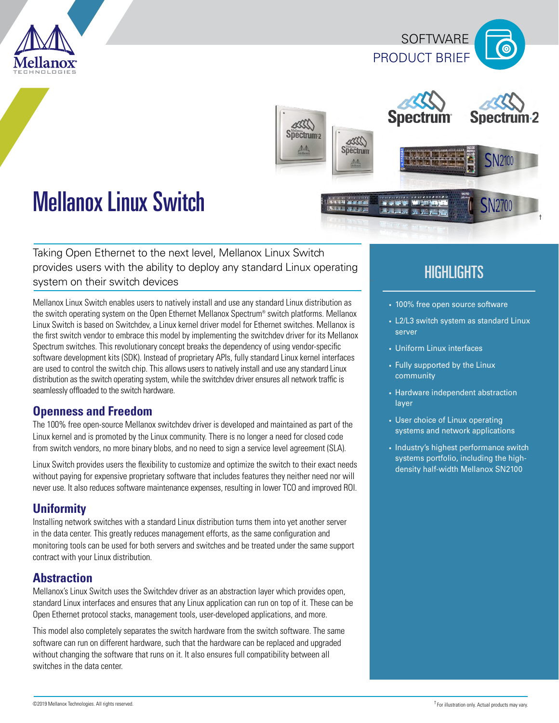





# Mellanox Linux Switch

Taking Open Ethernet to the next level, Mellanox Linux Switch provides users with the ability to deploy any standard Linux operating system on their switch devices

Mellanox Linux Switch enables users to natively install and use any standard Linux distribution as the switch operating system on the Open Ethernet Mellanox Spectrum® switch platforms. Mellanox Linux Switch is based on Switchdev, a Linux kernel driver model for Ethernet switches. Mellanox is the first switch vendor to embrace this model by implementing the switchdev driver for its Mellanox Spectrum switches. This revolutionary concept breaks the dependency of using vendor-specific software development kits (SDK). Instead of proprietary APIs, fully standard Linux kernel interfaces are used to control the switch chip. This allows users to natively install and use any standard Linux distribution as the switch operating system, while the switchdev driver ensures all network traffic is seamlessly offloaded to the switch hardware.

# **Openness and Freedom**

The 100% free open-source Mellanox switchdev driver is developed and maintained as part of the Linux kernel and is promoted by the Linux community. There is no longer a need for closed code from switch vendors, no more binary blobs, and no need to sign a service level agreement (SLA).

Linux Switch provides users the flexibility to customize and optimize the switch to their exact needs without paying for expensive proprietary software that includes features they neither need nor will never use. It also reduces software maintenance expenses, resulting in lower TCO and improved ROI.

# **Uniformity**

Installing network switches with a standard Linux distribution turns them into yet another server in the data center. This greatly reduces management efforts, as the same configuration and monitoring tools can be used for both servers and switches and be treated under the same support contract with your Linux distribution.

# **Abstraction**

Mellanox's Linux Switch uses the Switchdev driver as an abstraction layer which provides open, standard Linux interfaces and ensures that any Linux application can run on top of it. These can be Open Ethernet protocol stacks, management tools, user-developed applications, and more.

This model also completely separates the switch hardware from the switch software. The same software can run on different hardware, such that the hardware can be replaced and upgraded without changing the software that runs on it. It also ensures full compatibility between all switches in the data center.

# **HIGHLIGHTS**

- 100% free open source software
- L2/L3 switch system as standard Linux server
- Uniform Linux interfaces
- Fully supported by the Linux community
- Hardware independent abstraction layer
- User choice of Linux operating systems and network applications
- Industry's highest performance switch systems portfolio, including the highdensity half-width Mellanox SN2100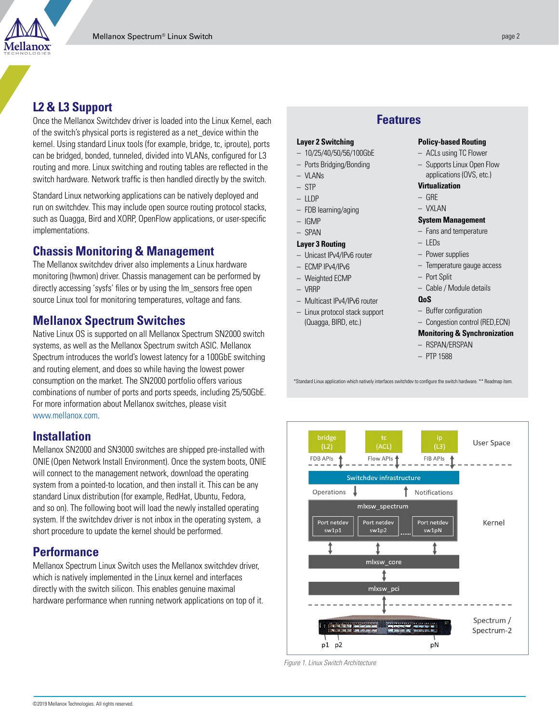

# **L2 & L3 Support**

Once the Mellanox Switchdev driver is loaded into the Linux Kernel, each of the switch's physical ports is registered as a net\_device within the kernel. Using standard Linux tools (for example, bridge, tc, iproute), ports can be bridged, bonded, tunneled, divided into VLANs, configured for L3 routing and more. Linux switching and routing tables are reflected in the switch hardware. Network traffic is then handled directly by the switch.

Standard Linux networking applications can be natively deployed and run on switchdev. This may include open source routing protocol stacks, such as Quagga, Bird and XORP, OpenFlow applications, or user-specific implementations.

# **Chassis Monitoring & Management**

The Mellanox switchdev driver also implements a Linux hardware monitoring (hwmon) driver. Chassis management can be performed by directly accessing 'sysfs' files or by using the lm\_sensors free open source Linux tool for monitoring temperatures, voltage and fans.

# **Mellanox Spectrum Switches**

Native Linux OS is supported on all Mellanox Spectrum SN2000 switch systems, as well as the Mellanox Spectrum switch ASIC. Mellanox Spectrum introduces the world's lowest latency for a 100GbE switching and routing element, and does so while having the lowest power consumption on the market. The SN2000 portfolio offers various combinations of number of ports and ports speeds, including 25/50GbE. For more information about Mellanox switches, please visit [www.mellanox.com](http://www.mellanox.com).

#### **Installation**

Mellanox SN2000 and SN3000 switches are shipped pre-installed with ONIE (Open Network Install Environment). Once the system boots, ONIE will connect to the management network, download the operating system from a pointed-to location, and then install it. This can be any standard Linux distribution (for example, RedHat, Ubuntu, Fedora, and so on). The following boot will load the newly installed operating system. If the switchdev driver is not inbox in the operating system, a short procedure to update the kernel should be performed.

# **Performance**

Mellanox Spectrum Linux Switch uses the Mellanox switchdev driver, which is natively implemented in the Linux kernel and interfaces directly with the switch silicon. This enables genuine maximal hardware performance when running network applications on top of it.

#### **Features**

#### **Layer 2 Switching**

- 10/25/40/50/56/100GbE
- Ports Bridging/Bonding
- VLANs
- STP
- $-$  LLDP
- FDB learning/aging
- IGMP
- SPAN

#### **Layer 3 Routing**

- Unicast IPv4/IPv6 router
- ECMP IPv4/IPv6
- Weighted ECMP
- VRRP
- Multicast IPv4/IPv6 router
- Linux protocol stack support (Quagga, BIRD, etc.)

#### **Policy-based Routing**

- ACLs using TC Flower
- Supports Linux Open Flow applications (OVS, etc.)
- **Virtualization**
- $-$  GRF
- VXLAN

#### **System Management**

- Fans and temperature
- LEDs
	- Power supplies
	- Temperature gauge access
	- Port Split
	- Cable / Module details
- **QoS**
- Buffer configuration
- Congestion control (RED,ECN)

#### **Monitoring & Synchronization**

- RSPAN/ERSPAN
- PTP 1588

\*Standard Linux application which natively interfaces switchdev to configure the switch hardware. \*\* Readmap item.



*Figure 1. Linux Switch Architecture*